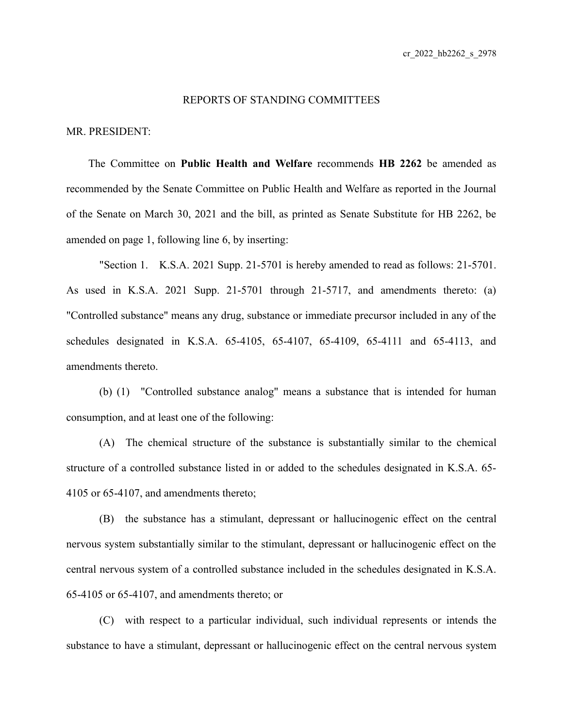## REPORTS OF STANDING COMMITTEES

MR. PRESIDENT:

The Committee on **Public Health and Welfare** recommends **HB 2262** be amended as recommended by the Senate Committee on Public Health and Welfare as reported in the Journal of the Senate on March 30, 2021 and the bill, as printed as Senate Substitute for HB 2262, be amended on page 1, following line 6, by inserting:

"Section 1. K.S.A. 2021 Supp. 21-5701 is hereby amended to read as follows: 21-5701. As used in K.S.A. 2021 Supp. 21-5701 through 21-5717, and amendments thereto: (a) "Controlled substance" means any drug, substance or immediate precursor included in any of the schedules designated in K.S.A. 65-4105, 65-4107, 65-4109, 65-4111 and 65-4113, and amendments thereto.

(b) (1) "Controlled substance analog" means a substance that is intended for human consumption, and at least one of the following:

(A) The chemical structure of the substance is substantially similar to the chemical structure of a controlled substance listed in or added to the schedules designated in K.S.A. 65- 4105 or 65-4107, and amendments thereto;

(B) the substance has a stimulant, depressant or hallucinogenic effect on the central nervous system substantially similar to the stimulant, depressant or hallucinogenic effect on the central nervous system of a controlled substance included in the schedules designated in K.S.A. 65-4105 or 65-4107, and amendments thereto; or

(C) with respect to a particular individual, such individual represents or intends the substance to have a stimulant, depressant or hallucinogenic effect on the central nervous system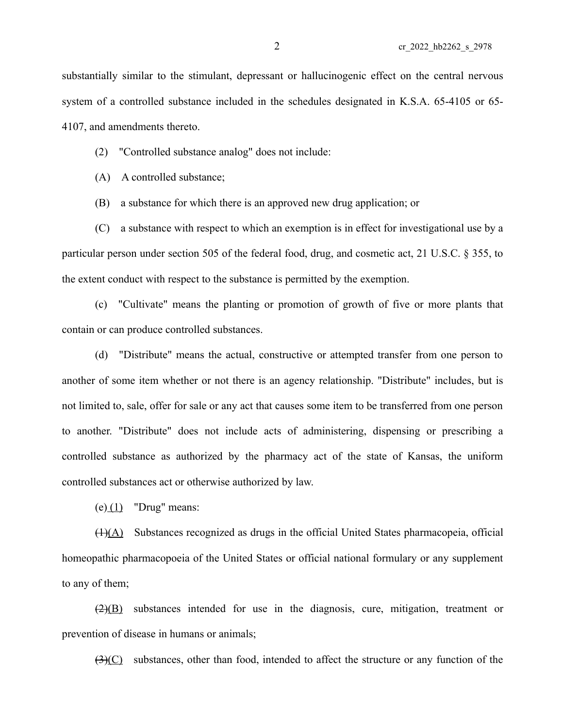substantially similar to the stimulant, depressant or hallucinogenic effect on the central nervous system of a controlled substance included in the schedules designated in K.S.A. 65-4105 or 65- 4107, and amendments thereto.

(2) "Controlled substance analog" does not include:

(A) A controlled substance;

(B) a substance for which there is an approved new drug application; or

(C) a substance with respect to which an exemption is in effect for investigational use by a particular person under section 505 of the federal food, drug, and cosmetic act, 21 U.S.C. § 355, to the extent conduct with respect to the substance is permitted by the exemption.

(c) "Cultivate" means the planting or promotion of growth of five or more plants that contain or can produce controlled substances.

(d) "Distribute" means the actual, constructive or attempted transfer from one person to another of some item whether or not there is an agency relationship. "Distribute" includes, but is not limited to, sale, offer for sale or any act that causes some item to be transferred from one person to another. "Distribute" does not include acts of administering, dispensing or prescribing a controlled substance as authorized by the pharmacy act of the state of Kansas, the uniform controlled substances act or otherwise authorized by law.

 $(e)$  (1) "Drug" means:

 $(1)(\underline{A})$  Substances recognized as drugs in the official United States pharmacopeia, official homeopathic pharmacopoeia of the United States or official national formulary or any supplement to any of them;

 $(2)(B)$  substances intended for use in the diagnosis, cure, mitigation, treatment or prevention of disease in humans or animals;

(3)(C) substances, other than food, intended to affect the structure or any function of the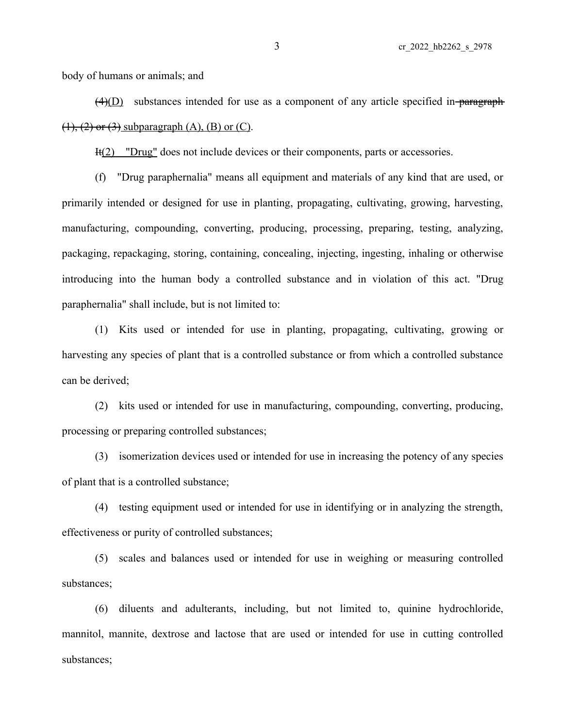body of humans or animals; and

 $\overline{(4)(D)}$  substances intended for use as a component of any article specified in-paragraph- $(1), (2)$  or  $(3)$  subparagraph  $(A)$ ,  $(B)$  or  $(C)$ .

It(2) "Drug" does not include devices or their components, parts or accessories.

(f) "Drug paraphernalia" means all equipment and materials of any kind that are used, or primarily intended or designed for use in planting, propagating, cultivating, growing, harvesting, manufacturing, compounding, converting, producing, processing, preparing, testing, analyzing, packaging, repackaging, storing, containing, concealing, injecting, ingesting, inhaling or otherwise introducing into the human body a controlled substance and in violation of this act. "Drug paraphernalia" shall include, but is not limited to:

(1) Kits used or intended for use in planting, propagating, cultivating, growing or harvesting any species of plant that is a controlled substance or from which a controlled substance can be derived;

(2) kits used or intended for use in manufacturing, compounding, converting, producing, processing or preparing controlled substances;

(3) isomerization devices used or intended for use in increasing the potency of any species of plant that is a controlled substance;

(4) testing equipment used or intended for use in identifying or in analyzing the strength, effectiveness or purity of controlled substances;

(5) scales and balances used or intended for use in weighing or measuring controlled substances;

(6) diluents and adulterants, including, but not limited to, quinine hydrochloride, mannitol, mannite, dextrose and lactose that are used or intended for use in cutting controlled substances;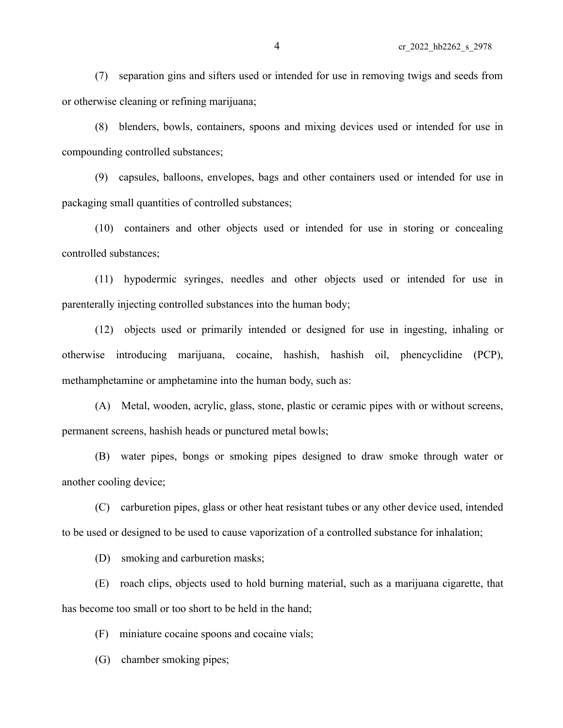(7) separation gins and sifters used or intended for use in removing twigs and seeds from or otherwise cleaning or refining marijuana;

(8) blenders, bowls, containers, spoons and mixing devices used or intended for use in compounding controlled substances;

(9) capsules, balloons, envelopes, bags and other containers used or intended for use in packaging small quantities of controlled substances;

(10) containers and other objects used or intended for use in storing or concealing controlled substances;

(11) hypodermic syringes, needles and other objects used or intended for use in parenterally injecting controlled substances into the human body;

(12) objects used or primarily intended or designed for use in ingesting, inhaling or otherwise introducing marijuana, cocaine, hashish, hashish oil, phencyclidine (PCP), methamphetamine or amphetamine into the human body, such as:

(A) Metal, wooden, acrylic, glass, stone, plastic or ceramic pipes with or without screens, permanent screens, hashish heads or punctured metal bowls;

(B) water pipes, bongs or smoking pipes designed to draw smoke through water or another cooling device;

(C) carburetion pipes, glass or other heat resistant tubes or any other device used, intended to be used or designed to be used to cause vaporization of a controlled substance for inhalation;

(D) smoking and carburetion masks;

(E) roach clips, objects used to hold burning material, such as a marijuana cigarette, that has become too small or too short to be held in the hand;

(F) miniature cocaine spoons and cocaine vials;

(G) chamber smoking pipes;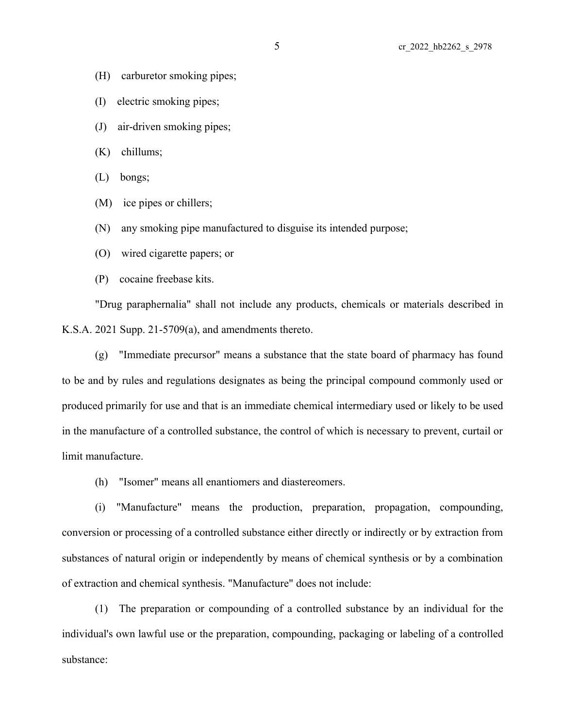- (H) carburetor smoking pipes;
- (I) electric smoking pipes;
- (J) air-driven smoking pipes;
- (K) chillums;
- (L) bongs;
- (M) ice pipes or chillers;
- (N) any smoking pipe manufactured to disguise its intended purpose;
- (O) wired cigarette papers; or
- (P) cocaine freebase kits.

"Drug paraphernalia" shall not include any products, chemicals or materials described in K.S.A. 2021 Supp. 21-5709(a), and amendments thereto.

(g) "Immediate precursor" means a substance that the state board of pharmacy has found to be and by rules and regulations designates as being the principal compound commonly used or produced primarily for use and that is an immediate chemical intermediary used or likely to be used in the manufacture of a controlled substance, the control of which is necessary to prevent, curtail or limit manufacture.

(h) "Isomer" means all enantiomers and diastereomers.

(i) "Manufacture" means the production, preparation, propagation, compounding, conversion or processing of a controlled substance either directly or indirectly or by extraction from substances of natural origin or independently by means of chemical synthesis or by a combination of extraction and chemical synthesis. "Manufacture" does not include:

(1) The preparation or compounding of a controlled substance by an individual for the individual's own lawful use or the preparation, compounding, packaging or labeling of a controlled substance: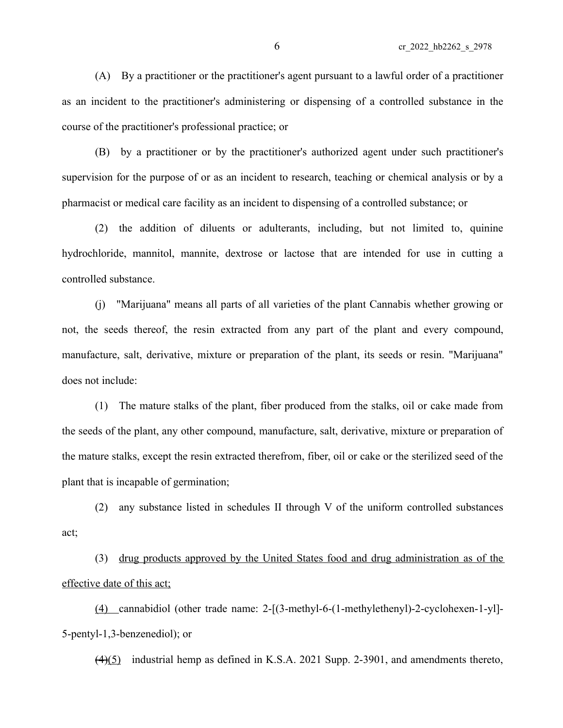(A) By a practitioner or the practitioner's agent pursuant to a lawful order of a practitioner as an incident to the practitioner's administering or dispensing of a controlled substance in the course of the practitioner's professional practice; or

(B) by a practitioner or by the practitioner's authorized agent under such practitioner's supervision for the purpose of or as an incident to research, teaching or chemical analysis or by a pharmacist or medical care facility as an incident to dispensing of a controlled substance; or

(2) the addition of diluents or adulterants, including, but not limited to, quinine hydrochloride, mannitol, mannite, dextrose or lactose that are intended for use in cutting a controlled substance.

(j) "Marijuana" means all parts of all varieties of the plant Cannabis whether growing or not, the seeds thereof, the resin extracted from any part of the plant and every compound, manufacture, salt, derivative, mixture or preparation of the plant, its seeds or resin. "Marijuana" does not include:

(1) The mature stalks of the plant, fiber produced from the stalks, oil or cake made from the seeds of the plant, any other compound, manufacture, salt, derivative, mixture or preparation of the mature stalks, except the resin extracted therefrom, fiber, oil or cake or the sterilized seed of the plant that is incapable of germination;

(2) any substance listed in schedules II through V of the uniform controlled substances act;

(3) drug products approved by the United States food and drug administration as of the effective date of this act;

(4) cannabidiol (other trade name: 2-[(3-methyl-6-(1-methylethenyl)-2-cyclohexen-1-yl]- 5-pentyl-1,3-benzenediol); or

(4)(5) industrial hemp as defined in K.S.A. 2021 Supp. 2-3901, and amendments thereto,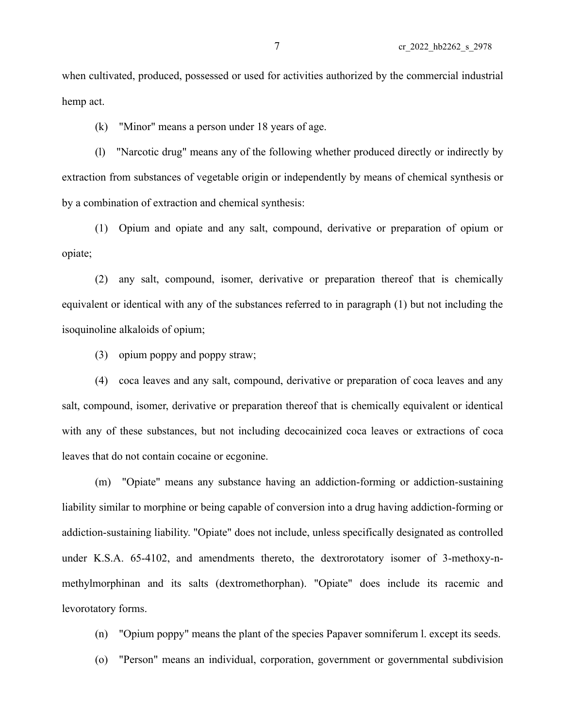when cultivated, produced, possessed or used for activities authorized by the commercial industrial hemp act.

(k) "Minor" means a person under 18 years of age.

(l) "Narcotic drug" means any of the following whether produced directly or indirectly by extraction from substances of vegetable origin or independently by means of chemical synthesis or by a combination of extraction and chemical synthesis:

(1) Opium and opiate and any salt, compound, derivative or preparation of opium or opiate;

(2) any salt, compound, isomer, derivative or preparation thereof that is chemically equivalent or identical with any of the substances referred to in paragraph (1) but not including the isoquinoline alkaloids of opium;

(3) opium poppy and poppy straw;

(4) coca leaves and any salt, compound, derivative or preparation of coca leaves and any salt, compound, isomer, derivative or preparation thereof that is chemically equivalent or identical with any of these substances, but not including decocainized coca leaves or extractions of coca leaves that do not contain cocaine or ecgonine.

(m) "Opiate" means any substance having an addiction-forming or addiction-sustaining liability similar to morphine or being capable of conversion into a drug having addiction-forming or addiction-sustaining liability. "Opiate" does not include, unless specifically designated as controlled under K.S.A. 65-4102, and amendments thereto, the dextrorotatory isomer of 3-methoxy-nmethylmorphinan and its salts (dextromethorphan). "Opiate" does include its racemic and levorotatory forms.

(n) "Opium poppy" means the plant of the species Papaver somniferum l. except its seeds.

(o) "Person" means an individual, corporation, government or governmental subdivision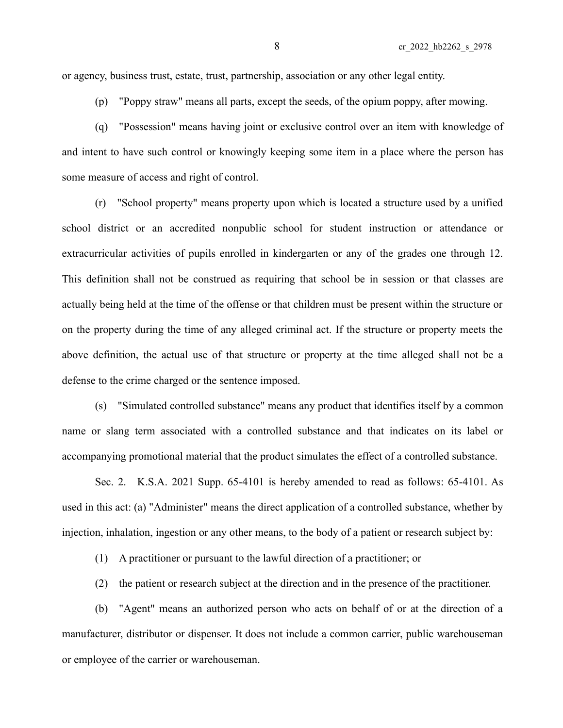or agency, business trust, estate, trust, partnership, association or any other legal entity.

(p) "Poppy straw" means all parts, except the seeds, of the opium poppy, after mowing.

(q) "Possession" means having joint or exclusive control over an item with knowledge of and intent to have such control or knowingly keeping some item in a place where the person has some measure of access and right of control.

(r) "School property" means property upon which is located a structure used by a unified school district or an accredited nonpublic school for student instruction or attendance or extracurricular activities of pupils enrolled in kindergarten or any of the grades one through 12. This definition shall not be construed as requiring that school be in session or that classes are actually being held at the time of the offense or that children must be present within the structure or on the property during the time of any alleged criminal act. If the structure or property meets the above definition, the actual use of that structure or property at the time alleged shall not be a defense to the crime charged or the sentence imposed.

(s) "Simulated controlled substance" means any product that identifies itself by a common name or slang term associated with a controlled substance and that indicates on its label or accompanying promotional material that the product simulates the effect of a controlled substance.

Sec. 2. K.S.A. 2021 Supp. 65-4101 is hereby amended to read as follows: 65-4101. As used in this act: (a) "Administer" means the direct application of a controlled substance, whether by injection, inhalation, ingestion or any other means, to the body of a patient or research subject by:

(1) A practitioner or pursuant to the lawful direction of a practitioner; or

(2) the patient or research subject at the direction and in the presence of the practitioner.

(b) "Agent" means an authorized person who acts on behalf of or at the direction of a manufacturer, distributor or dispenser. It does not include a common carrier, public warehouseman or employee of the carrier or warehouseman.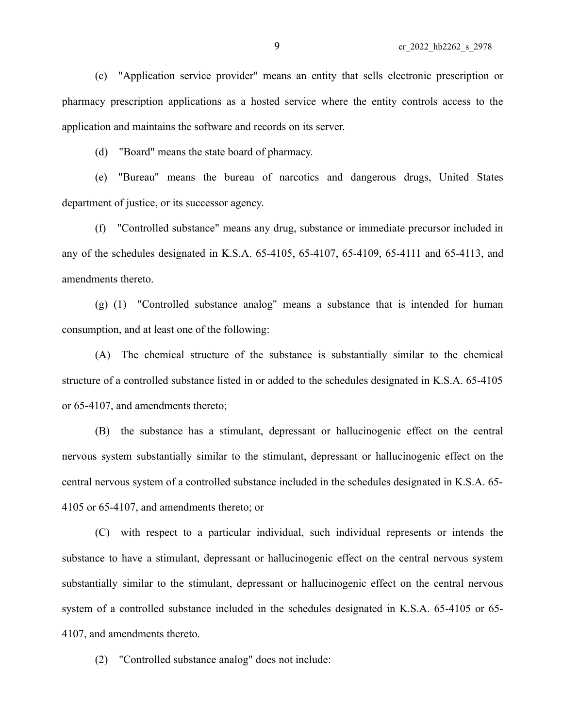(c) "Application service provider" means an entity that sells electronic prescription or pharmacy prescription applications as a hosted service where the entity controls access to the application and maintains the software and records on its server.

(d) "Board" means the state board of pharmacy.

(e) "Bureau" means the bureau of narcotics and dangerous drugs, United States department of justice, or its successor agency.

(f) "Controlled substance" means any drug, substance or immediate precursor included in any of the schedules designated in K.S.A. 65-4105, 65-4107, 65-4109, 65-4111 and 65-4113, and amendments thereto.

(g) (1) "Controlled substance analog" means a substance that is intended for human consumption, and at least one of the following:

(A) The chemical structure of the substance is substantially similar to the chemical structure of a controlled substance listed in or added to the schedules designated in K.S.A. 65-4105 or 65-4107, and amendments thereto;

(B) the substance has a stimulant, depressant or hallucinogenic effect on the central nervous system substantially similar to the stimulant, depressant or hallucinogenic effect on the central nervous system of a controlled substance included in the schedules designated in K.S.A. 65- 4105 or 65-4107, and amendments thereto; or

(C) with respect to a particular individual, such individual represents or intends the substance to have a stimulant, depressant or hallucinogenic effect on the central nervous system substantially similar to the stimulant, depressant or hallucinogenic effect on the central nervous system of a controlled substance included in the schedules designated in K.S.A. 65-4105 or 65- 4107, and amendments thereto.

(2) "Controlled substance analog" does not include: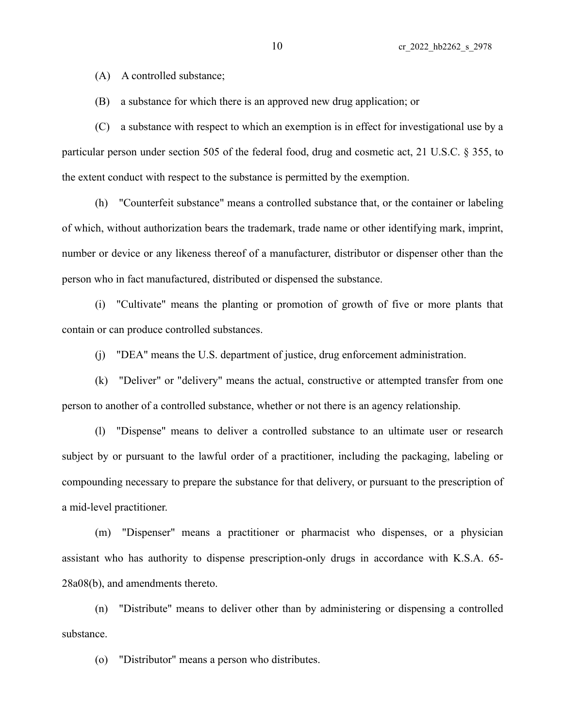(A) A controlled substance;

(B) a substance for which there is an approved new drug application; or

(C) a substance with respect to which an exemption is in effect for investigational use by a particular person under section 505 of the federal food, drug and cosmetic act, 21 U.S.C. § 355, to the extent conduct with respect to the substance is permitted by the exemption.

(h) "Counterfeit substance" means a controlled substance that, or the container or labeling of which, without authorization bears the trademark, trade name or other identifying mark, imprint, number or device or any likeness thereof of a manufacturer, distributor or dispenser other than the person who in fact manufactured, distributed or dispensed the substance.

(i) "Cultivate" means the planting or promotion of growth of five or more plants that contain or can produce controlled substances.

(j) "DEA" means the U.S. department of justice, drug enforcement administration.

(k) "Deliver" or "delivery" means the actual, constructive or attempted transfer from one person to another of a controlled substance, whether or not there is an agency relationship.

(l) "Dispense" means to deliver a controlled substance to an ultimate user or research subject by or pursuant to the lawful order of a practitioner, including the packaging, labeling or compounding necessary to prepare the substance for that delivery, or pursuant to the prescription of a mid-level practitioner.

(m) "Dispenser" means a practitioner or pharmacist who dispenses, or a physician assistant who has authority to dispense prescription-only drugs in accordance with K.S.A. 65- 28a08(b), and amendments thereto.

(n) "Distribute" means to deliver other than by administering or dispensing a controlled substance.

(o) "Distributor" means a person who distributes.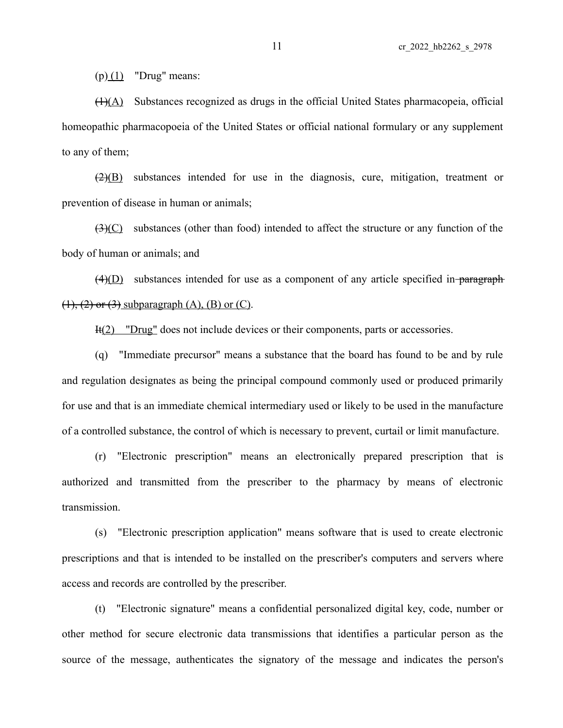$(p)(1)$  "Drug" means:

 $(H)(A)$  Substances recognized as drugs in the official United States pharmacopeia, official homeopathic pharmacopoeia of the United States or official national formulary or any supplement to any of them;

 $\left(\frac{2}{B}\right)$  substances intended for use in the diagnosis, cure, mitigation, treatment or prevention of disease in human or animals;

(3)(C) substances (other than food) intended to affect the structure or any function of the body of human or animals; and

 $(4)(D)$  substances intended for use as a component of any article specified in-paragraph  $(1), (2)$  or  $(3)$  subparagraph  $(A)$ ,  $(B)$  or  $(C)$ .

It(2) "Drug" does not include devices or their components, parts or accessories.

(q) "Immediate precursor" means a substance that the board has found to be and by rule and regulation designates as being the principal compound commonly used or produced primarily for use and that is an immediate chemical intermediary used or likely to be used in the manufacture of a controlled substance, the control of which is necessary to prevent, curtail or limit manufacture.

(r) "Electronic prescription" means an electronically prepared prescription that is authorized and transmitted from the prescriber to the pharmacy by means of electronic transmission.

(s) "Electronic prescription application" means software that is used to create electronic prescriptions and that is intended to be installed on the prescriber's computers and servers where access and records are controlled by the prescriber.

(t) "Electronic signature" means a confidential personalized digital key, code, number or other method for secure electronic data transmissions that identifies a particular person as the source of the message, authenticates the signatory of the message and indicates the person's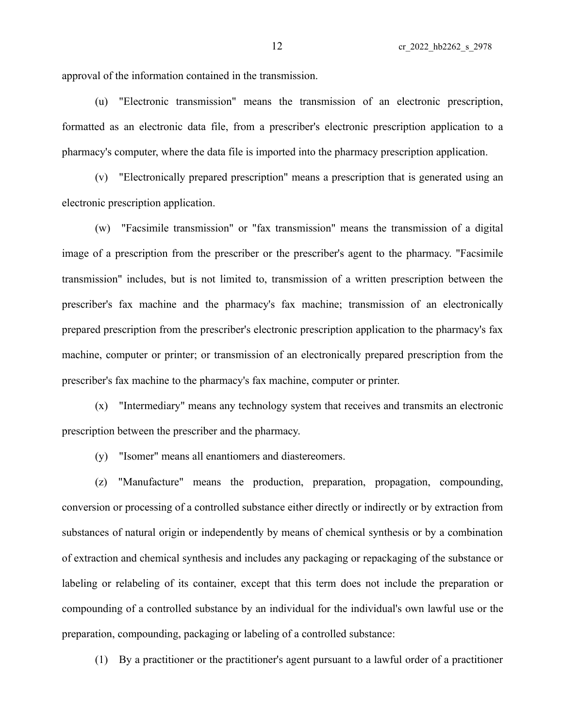approval of the information contained in the transmission.

(u) "Electronic transmission" means the transmission of an electronic prescription, formatted as an electronic data file, from a prescriber's electronic prescription application to a pharmacy's computer, where the data file is imported into the pharmacy prescription application.

(v) "Electronically prepared prescription" means a prescription that is generated using an electronic prescription application.

(w) "Facsimile transmission" or "fax transmission" means the transmission of a digital image of a prescription from the prescriber or the prescriber's agent to the pharmacy. "Facsimile transmission" includes, but is not limited to, transmission of a written prescription between the prescriber's fax machine and the pharmacy's fax machine; transmission of an electronically prepared prescription from the prescriber's electronic prescription application to the pharmacy's fax machine, computer or printer; or transmission of an electronically prepared prescription from the prescriber's fax machine to the pharmacy's fax machine, computer or printer.

(x) "Intermediary" means any technology system that receives and transmits an electronic prescription between the prescriber and the pharmacy.

(y) "Isomer" means all enantiomers and diastereomers.

(z) "Manufacture" means the production, preparation, propagation, compounding, conversion or processing of a controlled substance either directly or indirectly or by extraction from substances of natural origin or independently by means of chemical synthesis or by a combination of extraction and chemical synthesis and includes any packaging or repackaging of the substance or labeling or relabeling of its container, except that this term does not include the preparation or compounding of a controlled substance by an individual for the individual's own lawful use or the preparation, compounding, packaging or labeling of a controlled substance:

(1) By a practitioner or the practitioner's agent pursuant to a lawful order of a practitioner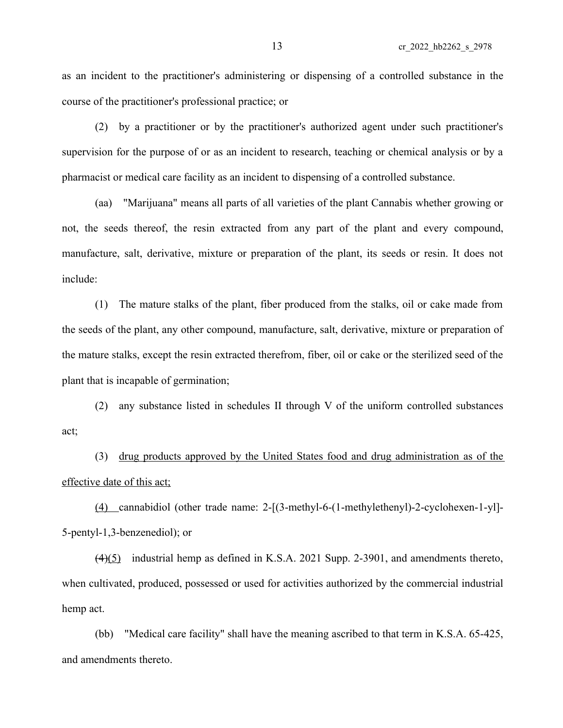as an incident to the practitioner's administering or dispensing of a controlled substance in the course of the practitioner's professional practice; or

(2) by a practitioner or by the practitioner's authorized agent under such practitioner's supervision for the purpose of or as an incident to research, teaching or chemical analysis or by a pharmacist or medical care facility as an incident to dispensing of a controlled substance.

(aa) "Marijuana" means all parts of all varieties of the plant Cannabis whether growing or not, the seeds thereof, the resin extracted from any part of the plant and every compound, manufacture, salt, derivative, mixture or preparation of the plant, its seeds or resin. It does not include:

(1) The mature stalks of the plant, fiber produced from the stalks, oil or cake made from the seeds of the plant, any other compound, manufacture, salt, derivative, mixture or preparation of the mature stalks, except the resin extracted therefrom, fiber, oil or cake or the sterilized seed of the plant that is incapable of germination;

(2) any substance listed in schedules II through V of the uniform controlled substances act;

(3) drug products approved by the United States food and drug administration as of the effective date of this act;

(4) cannabidiol (other trade name: 2-[(3-methyl-6-(1-methylethenyl)-2-cyclohexen-1-yl]- 5-pentyl-1,3-benzenediol); or

(4)(5) industrial hemp as defined in K.S.A. 2021 Supp. 2-3901, and amendments thereto, when cultivated, produced, possessed or used for activities authorized by the commercial industrial hemp act.

(bb) "Medical care facility" shall have the meaning ascribed to that term in K.S.A. 65-425, and amendments thereto.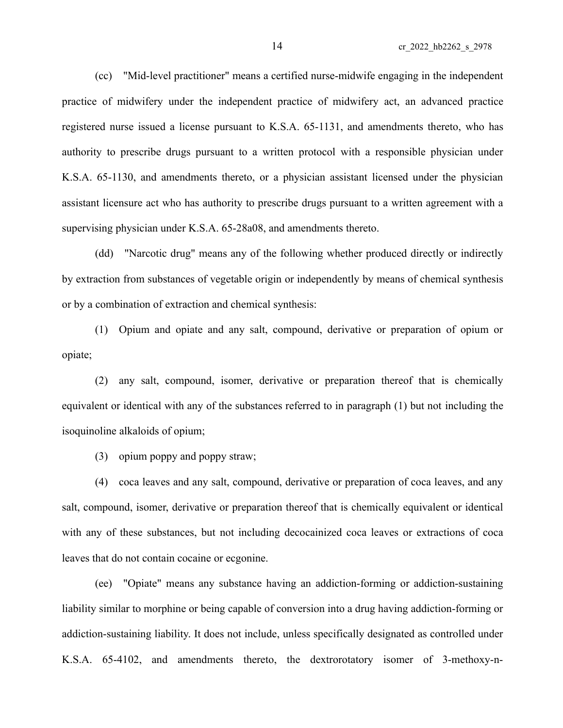(cc) "Mid-level practitioner" means a certified nurse-midwife engaging in the independent practice of midwifery under the independent practice of midwifery act, an advanced practice registered nurse issued a license pursuant to K.S.A. 65-1131, and amendments thereto, who has authority to prescribe drugs pursuant to a written protocol with a responsible physician under K.S.A. 65-1130, and amendments thereto, or a physician assistant licensed under the physician assistant licensure act who has authority to prescribe drugs pursuant to a written agreement with a supervising physician under K.S.A. 65-28a08, and amendments thereto.

(dd) "Narcotic drug" means any of the following whether produced directly or indirectly by extraction from substances of vegetable origin or independently by means of chemical synthesis or by a combination of extraction and chemical synthesis:

(1) Opium and opiate and any salt, compound, derivative or preparation of opium or opiate;

(2) any salt, compound, isomer, derivative or preparation thereof that is chemically equivalent or identical with any of the substances referred to in paragraph (1) but not including the isoquinoline alkaloids of opium;

(3) opium poppy and poppy straw;

(4) coca leaves and any salt, compound, derivative or preparation of coca leaves, and any salt, compound, isomer, derivative or preparation thereof that is chemically equivalent or identical with any of these substances, but not including decocainized coca leaves or extractions of coca leaves that do not contain cocaine or ecgonine.

(ee) "Opiate" means any substance having an addiction-forming or addiction-sustaining liability similar to morphine or being capable of conversion into a drug having addiction-forming or addiction-sustaining liability. It does not include, unless specifically designated as controlled under K.S.A. 65-4102, and amendments thereto, the dextrorotatory isomer of 3-methoxy-n-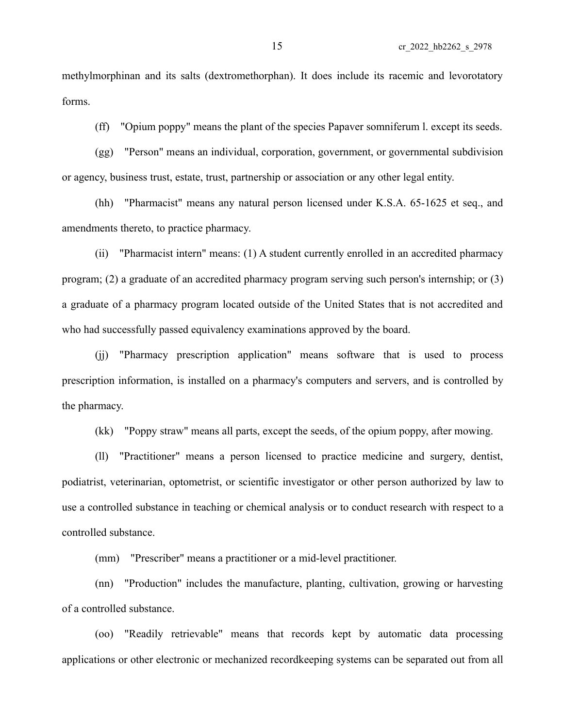methylmorphinan and its salts (dextromethorphan). It does include its racemic and levorotatory forms.

(ff) "Opium poppy" means the plant of the species Papaver somniferum l. except its seeds.

(gg) "Person" means an individual, corporation, government, or governmental subdivision or agency, business trust, estate, trust, partnership or association or any other legal entity.

(hh) "Pharmacist" means any natural person licensed under K.S.A. 65-1625 et seq., and amendments thereto, to practice pharmacy.

(ii) "Pharmacist intern" means: (1) A student currently enrolled in an accredited pharmacy program; (2) a graduate of an accredited pharmacy program serving such person's internship; or (3) a graduate of a pharmacy program located outside of the United States that is not accredited and who had successfully passed equivalency examinations approved by the board.

(jj) "Pharmacy prescription application" means software that is used to process prescription information, is installed on a pharmacy's computers and servers, and is controlled by the pharmacy.

(kk) "Poppy straw" means all parts, except the seeds, of the opium poppy, after mowing.

(ll) "Practitioner" means a person licensed to practice medicine and surgery, dentist, podiatrist, veterinarian, optometrist, or scientific investigator or other person authorized by law to use a controlled substance in teaching or chemical analysis or to conduct research with respect to a controlled substance.

(mm) "Prescriber" means a practitioner or a mid-level practitioner.

(nn) "Production" includes the manufacture, planting, cultivation, growing or harvesting of a controlled substance.

(oo) "Readily retrievable" means that records kept by automatic data processing applications or other electronic or mechanized recordkeeping systems can be separated out from all